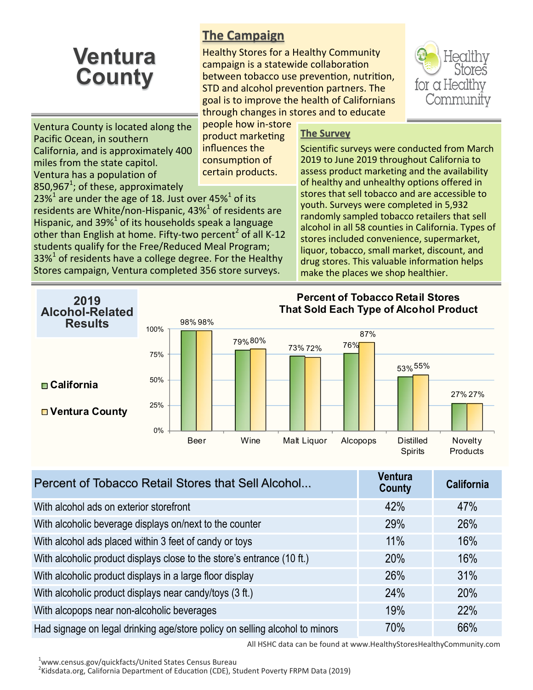## **Ventura County**

## **The Campaign**

Healthy Stores for a Healthy Community campaign is a statewide collaboration between tobacco use prevention, nutrition, STD and alcohol prevention partners. The goal is to improve the health of Californians through changes in stores and to educate



Ventura County is located along the Pacific Ocean, in southern California, and is approximately 400 miles from the state capitol. Ventura has a population of 850,967 $^1$ ; of these, approximately

people how in-store product marketing influences the consumption of certain products.

23%<sup>1</sup> are under the age of 18. Just over 45%<sup>1</sup> of its residents are White/non-Hispanic, 43% $^1$  of residents are Hispanic, and 39% $^1$  of its households speak a language other than English at home. Fifty-two percent<sup>2</sup> of all K-12 students qualify for the Free/Reduced Meal Program;  $33\%$ <sup>1</sup> of residents have a college degree. For the Healthy Stores campaign, Ventura completed 356 store surveys.

## **The Survey**

Scientific surveys were conducted from March 2019 to June 2019 throughout California to assess product marketing and the availability of healthy and unhealthy options offered in stores that sell tobacco and are accessible to youth. Surveys were completed in 5,932 randomly sampled tobacco retailers that sell alcohol in all 58 counties in California. Types of stores included convenience, supermarket, liquor, tobacco, small market, discount, and drug stores. This valuable information helps make the places we shop healthier.



| Percent of Tobacco Retail Stores that Sell Alcohol                          | <b>Ventura</b><br><b>County</b> | <b>California</b> |
|-----------------------------------------------------------------------------|---------------------------------|-------------------|
| With alcohol ads on exterior storefront                                     | 42%                             | 47%               |
| With alcoholic beverage displays on/next to the counter                     | 29%                             | 26%               |
| With alcohol ads placed within 3 feet of candy or toys                      | 11%                             | 16%               |
| With alcoholic product displays close to the store's entrance (10 ft.)      | 20%                             | 16%               |
| With alcoholic product displays in a large floor display                    | 26%                             | 31%               |
| With alcoholic product displays near candy/toys (3 ft.)                     | 24%                             | 20%               |
| With alcopops near non-alcoholic beverages                                  | 19%                             | 22%               |
| Had signage on legal drinking age/store policy on selling alcohol to minors | 70%                             | 66%               |

All HSHC data can be found at www.HealthyStoresHealthyCommunity.com

<sup>1</sup>www.census.gov/quickfacts/United States Census Bureau

<sup>2</sup>Kidsdata.org, California Department of Education (CDE), Student Poverty FRPM Data (2019)